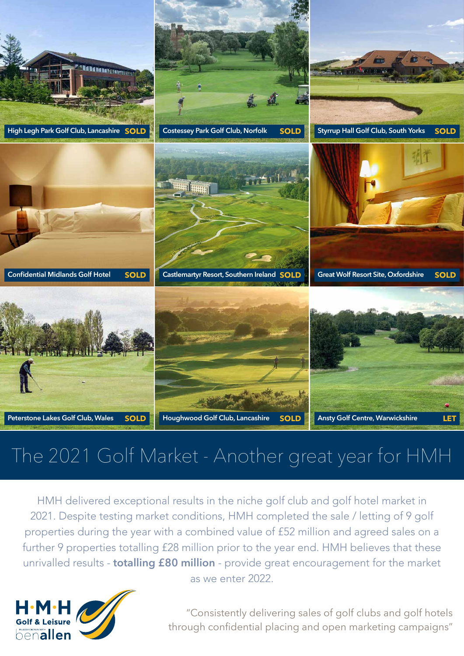

## The 2021 Golf Market - Another great year for HMH

HMH delivered exceptional results in the niche golf club and golf hotel market in 2021. Despite testing market conditions, HMH completed the sale / letting of 9 golf properties during the year with a combined value of £52 million and agreed sales on a further 9 properties totalling £28 million prior to the year end. HMH believes that these unrivalled results - **totalling £80 million** - provide great encouragement for the market



as we enter 2022.

"Consistently delivering sales of golf clubs and golf hotels through confidential placing and open marketing campaigns"